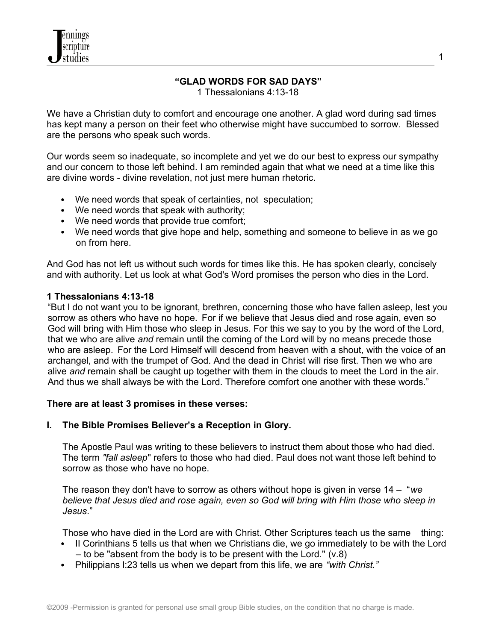## **"GLAD WORDS FOR SAD DAYS"**

1 Thessalonians 4:13-18

We have a Christian duty to comfort and encourage one another. A glad word during sad times has kept many a person on their feet who otherwise might have succumbed to sorrow. Blessed are the persons who speak such words.

Our words seem so inadequate, so incomplete and yet we do our best to express our sympathy and our concern to those left behind. I am reminded again that what we need at a time like this are divine words - divine revelation, not just mere human rhetoric.

- We need words that speak of certainties, not speculation;
- We need words that speak with authority;
- We need words that provide true comfort;
- We need words that give hope and help, something and someone to believe in as we go on from here.

And God has not left us without such words for times like this. He has spoken clearly, concisely and with authority. Let us look at what God's Word promises the person who dies in the Lord.

#### **1 Thessalonians 4:13-18**

"But I do not want you to be ignorant, brethren, concerning those who have fallen asleep, lest you sorrow as others who have no hope. For if we believe that Jesus died and rose again, even so God will bring with Him those who sleep in Jesus. For this we say to you by the word of the Lord, that we who are alive *and* remain until the coming of the Lord will by no means precede those who are asleep. For the Lord Himself will descend from heaven with a shout, with the voice of an archangel, and with the trumpet of God. And the dead in Christ will rise first. Then we who are alive *and* remain shall be caught up together with them in the clouds to meet the Lord in the air. And thus we shall always be with the Lord. Therefore comfort one another with these words."

#### **There are at least 3 promises in these verses:**

#### **I. The Bible Promises Believer's a Reception in Glory.**

The Apostle Paul was writing to these believers to instruct them about those who had died. The term *"fall asleep*" refers to those who had died. Paul does not want those left behind to sorrow as those who have no hope.

The reason they don't have to sorrow as others without hope is given in verse 14 – "*we believe that Jesus died and rose again, even so God will bring with Him those who sleep in Jesus*."

Those who have died in the Lord are with Christ. Other Scriptures teach us the same thing:

- II Corinthians 5 tells us that when we Christians die, we go immediately to be with the Lord  $-$  to be "absent from the body is to be present with the Lord." (v.8)
- Philippians l:23 tells us when we depart from this life, we are *"with Christ."*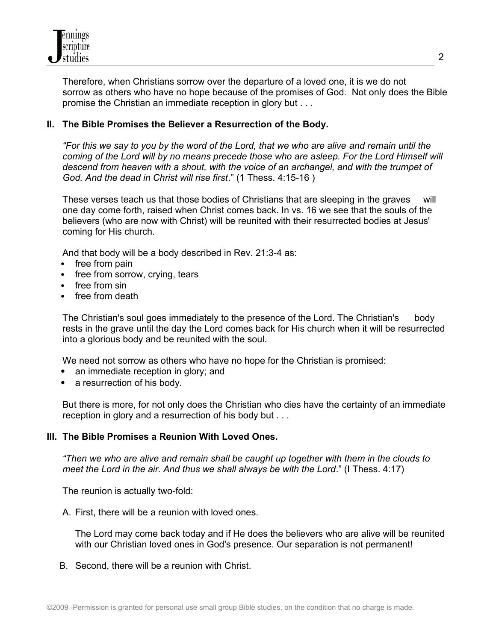

Therefore, when Christians sorrow over the departure of a loved one, it is we do not sorrow as others who have no hope because of the promises of God. Not only does the Bible promise the Christian an immediate reception in glory but . . .

### **II. The Bible Promises the Believer a Resurrection of the Body.**

*"For this we say to you by the word of the Lord, that we who are alive and remain until the coming of the Lord will by no means precede those who are asleep. For the Lord Himself will descend from heaven with a shout, with the voice of an archangel, and with the trumpet of God. And the dead in Christ will rise first*." (1 Thess. 4:15-16 )

These verses teach us that those bodies of Christians that are sleeping in the graves will one day come forth, raised when Christ comes back. In vs. 16 we see that the souls of the believers (who are now with Christ) will be reunited with their resurrected bodies at Jesus' coming for His church.

And that body will be a body described in Rev. 21:3-4 as:

- free from pain
- free from sorrow, crying, tears
- free from sin
- free from death

The Christian's soul goes immediately to the presence of the Lord. The Christian's body rests in the grave until the day the Lord comes back for His church when it will be resurrected into a glorious body and be reunited with the soul.

We need not sorrow as others who have no hope for the Christian is promised:

- an immediate reception in glory; and
- a resurrection of his body.

But there is more, for not only does the Christian who dies have the certainty of an immediate reception in glory and a resurrection of his body but . . .

#### **III. The Bible Promises a Reunion With Loved Ones.**

*"Then we who are alive and remain shall be caught up together with them in the clouds to meet the Lord in the air. And thus we shall always be with the Lord*." (I Thess. 4:17)

The reunion is actually two-fold:

A. First, there will be a reunion with loved ones.

The Lord may come back today and if He does the believers who are alive will be reunited with our Christian loved ones in God's presence. Our separation is not permanent!

B. Second, there will be a reunion with Christ.